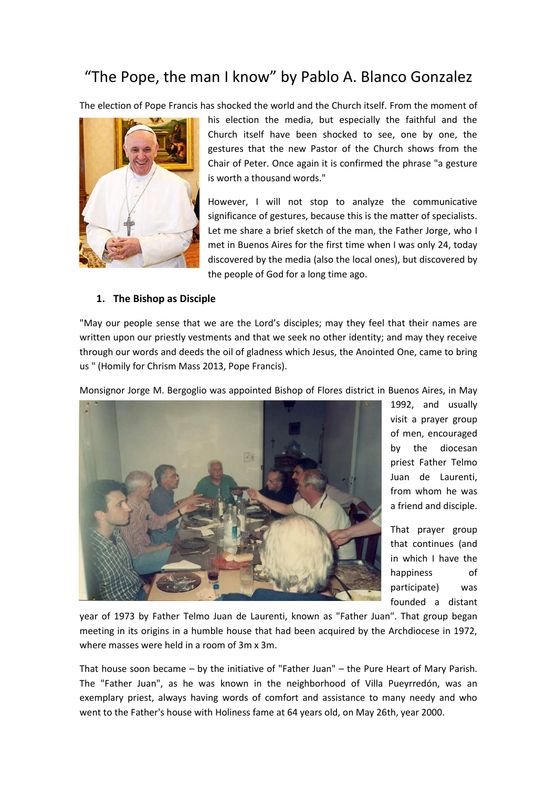# "The Pope, the man I know" by Pablo A. Blanco Gonzalez

The election of Pope Francis has shocked the world and the Church itself. From the moment of



his election the media, but especially the faithful and the Church itself have been shocked to see, one by one, the gestures that the new Pastor of the Church shows from the Chair of Peter. Once again it is confirmed the phrase "a gesture is worth a thousand words."

However, I will not stop to analyze the communicative significance of gestures, because this is the matter of specialists. Let me share a brief sketch of the man, the Father Jorge, who I met in Buenos Aires for the first time when I was only 24, today discovered by the media (also the local ones), but discovered by the people of God for a long time ago.

#### **1. The Bishop as Disciple**

"May our people sense that we are the Lord's disciples; may they feel that their names are written upon our priestly vestments and that we seek no other identity; and may they receive through our words and deeds the oil of gladness which Jesus, the Anointed One, came to bring us " (Homily for Chrism Mass 2013, Pope Francis).

Monsignor Jorge M. Bergoglio was appointed Bishop of Flores district in Buenos Aires, in May



1992, and usually visit a prayer group of men, encouraged by the diocesan priest Father Telmo Juan de Laurenti, from whom he was a friend and disciple.

That prayer group that continues (and in which I have the happiness of participate) was founded a distant

year of 1973 by Father Telmo Juan de Laurenti, known as "Father Juan". That group began meeting in its origins in a humble house that had been acquired by the Archdiocese in 1972, where masses were held in a room of 3m x 3m.

That house soon became – by the initiative of "Father Juan" – the Pure Heart of Mary Parish. The "Father Juan", as he was known in the neighborhood of Villa Pueyrredón, was an exemplary priest, always having words of comfort and assistance to many needy and who went to the Father's house with Holiness fame at 64 years old, on May 26th, year 2000.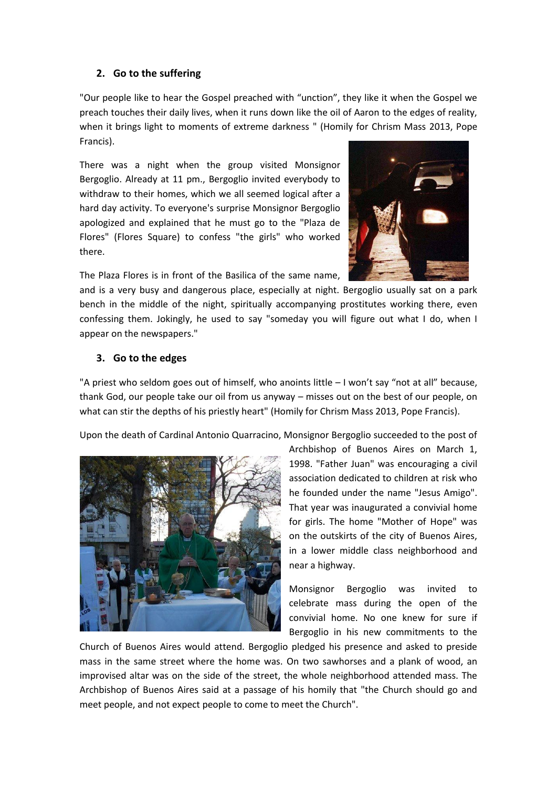## **2. Go to the suffering**

"Our people like to hear the Gospel preached with "unction", they like it when the Gospel we preach touches their daily lives, when it runs down like the oil of Aaron to the edges of reality, when it brings light to moments of extreme darkness " (Homily for Chrism Mass 2013, Pope Francis).

There was a night when the group visited Monsignor Bergoglio. Already at 11 pm., Bergoglio invited everybody to withdraw to their homes, which we all seemed logical after a hard day activity. To everyone's surprise Monsignor Bergoglio apologized and explained that he must go to the "Plaza de Flores" (Flores Square) to confess "the girls" who worked there.



The Plaza Flores is in front of the Basilica of the same name,

and is a very busy and dangerous place, especially at night. Bergoglio usually sat on a park bench in the middle of the night, spiritually accompanying prostitutes working there, even confessing them. Jokingly, he used to say "someday you will figure out what I do, when I appear on the newspapers."

## **3. Go to the edges**

"A priest who seldom goes out of himself, who anoints little – I won't say "not at all" because, thank God, our people take our oil from us anyway – misses out on the best of our people, on what can stir the depths of his priestly heart" (Homily for Chrism Mass 2013, Pope Francis).

Upon the death of Cardinal Antonio Quarracino, Monsignor Bergoglio succeeded to the post of



Archbishop of Buenos Aires on March 1, 1998. "Father Juan" was encouraging a civil association dedicated to children at risk who he founded under the name "Jesus Amigo". That year was inaugurated a convivial home for girls. The home "Mother of Hope" was on the outskirts of the city of Buenos Aires, in a lower middle class neighborhood and near a highway.

Monsignor Bergoglio was invited to celebrate mass during the open of the convivial home. No one knew for sure if Bergoglio in his new commitments to the

Church of Buenos Aires would attend. Bergoglio pledged his presence and asked to preside mass in the same street where the home was. On two sawhorses and a plank of wood, an improvised altar was on the side of the street, the whole neighborhood attended mass. The Archbishop of Buenos Aires said at a passage of his homily that "the Church should go and meet people, and not expect people to come to meet the Church".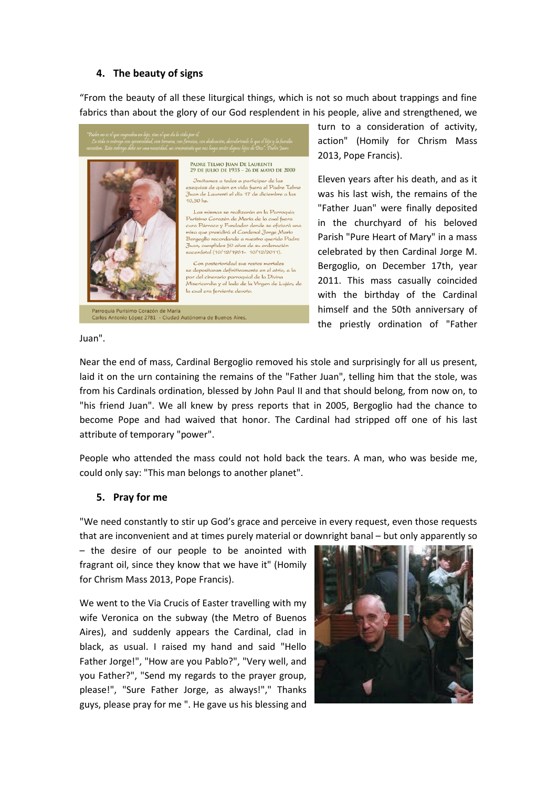#### **4. The beauty of signs**

"From the beauty of all these liturgical things, which is not so much about trappings and fine fabrics than about the glory of our God resplendent in his people, alive and strengthened, we



turn to a consideration of activity, action" (Homily for Chrism Mass 2013, Pope Francis).

Eleven years after his death, and as it was his last wish, the remains of the "Father Juan" were finally deposited in the churchyard of his beloved Parish "Pure Heart of Mary" in a mass celebrated by then Cardinal Jorge M. Bergoglio, on December 17th, year 2011. This mass casually coincided with the birthday of the Cardinal himself and the 50th anniversary of the priestly ordination of "Father

Juan".

Near the end of mass, Cardinal Bergoglio removed his stole and surprisingly for all us present, laid it on the urn containing the remains of the "Father Juan", telling him that the stole, was from his Cardinals ordination, blessed by John Paul II and that should belong, from now on, to "his friend Juan". We all knew by press reports that in 2005, Bergoglio had the chance to become Pope and had waived that honor. The Cardinal had stripped off one of his last attribute of temporary "power".

People who attended the mass could not hold back the tears. A man, who was beside me, could only say: "This man belongs to another planet".

#### **5. Pray for me**

"We need constantly to stir up God's grace and perceive in every request, even those requests that are inconvenient and at times purely material or downright banal – but only apparently so

– the desire of our people to be anointed with fragrant oil, since they know that we have it" (Homily for Chrism Mass 2013, Pope Francis).

We went to the Via Crucis of Easter travelling with my wife Veronica on the subway (the Metro of Buenos Aires), and suddenly appears the Cardinal, clad in black, as usual. I raised my hand and said "Hello Father Jorge!", "How are you Pablo?", "Very well, and you Father?", "Send my regards to the prayer group, please!", "Sure Father Jorge, as always!"," Thanks guys, please pray for me ". He gave us his blessing and